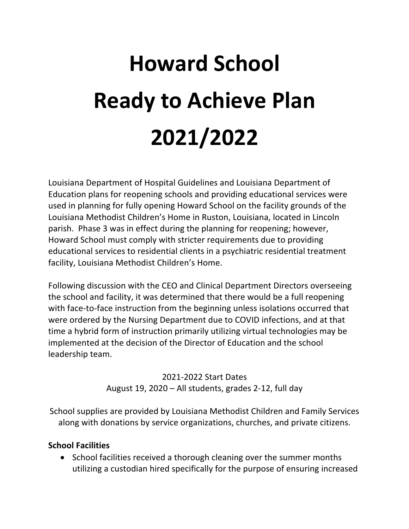# **Howard School Ready to Achieve Plan 2021/2022**

Louisiana Department of Hospital Guidelines and Louisiana Department of Education plans for reopening schools and providing educational services were used in planning for fully opening Howard School on the facility grounds of the Louisiana Methodist Children's Home in Ruston, Louisiana, located in Lincoln parish. Phase 3 was in effect during the planning for reopening; however, Howard School must comply with stricter requirements due to providing educational services to residential clients in a psychiatric residential treatment facility, Louisiana Methodist Children's Home.

Following discussion with the CEO and Clinical Department Directors overseeing the school and facility, it was determined that there would be a full reopening with face-to-face instruction from the beginning unless isolations occurred that were ordered by the Nursing Department due to COVID infections, and at that time a hybrid form of instruction primarily utilizing virtual technologies may be implemented at the decision of the Director of Education and the school leadership team.

> 2021-2022 Start Dates August 19, 2020 – All students, grades 2-12, full day

School supplies are provided by Louisiana Methodist Children and Family Services along with donations by service organizations, churches, and private citizens.

## **School Facilities**

• School facilities received a thorough cleaning over the summer months utilizing a custodian hired specifically for the purpose of ensuring increased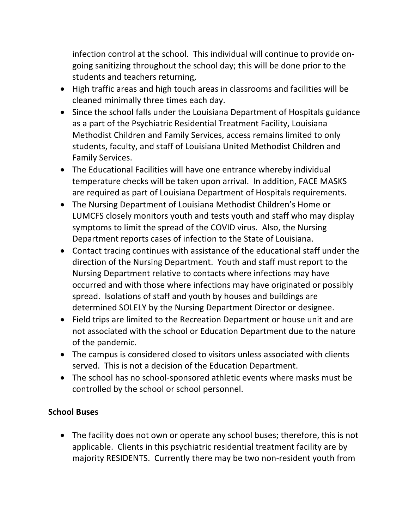infection control at the school. This individual will continue to provide ongoing sanitizing throughout the school day; this will be done prior to the students and teachers returning,

- High traffic areas and high touch areas in classrooms and facilities will be cleaned minimally three times each day.
- Since the school falls under the Louisiana Department of Hospitals guidance as a part of the Psychiatric Residential Treatment Facility, Louisiana Methodist Children and Family Services, access remains limited to only students, faculty, and staff of Louisiana United Methodist Children and Family Services.
- The Educational Facilities will have one entrance whereby individual temperature checks will be taken upon arrival. In addition, FACE MASKS are required as part of Louisiana Department of Hospitals requirements.
- The Nursing Department of Louisiana Methodist Children's Home or LUMCFS closely monitors youth and tests youth and staff who may display symptoms to limit the spread of the COVID virus. Also, the Nursing Department reports cases of infection to the State of Louisiana.
- Contact tracing continues with assistance of the educational staff under the direction of the Nursing Department. Youth and staff must report to the Nursing Department relative to contacts where infections may have occurred and with those where infections may have originated or possibly spread. Isolations of staff and youth by houses and buildings are determined SOLELY by the Nursing Department Director or designee.
- Field trips are limited to the Recreation Department or house unit and are not associated with the school or Education Department due to the nature of the pandemic.
- The campus is considered closed to visitors unless associated with clients served. This is not a decision of the Education Department.
- The school has no school-sponsored athletic events where masks must be controlled by the school or school personnel.

## **School Buses**

• The facility does not own or operate any school buses; therefore, this is not applicable. Clients in this psychiatric residential treatment facility are by majority RESIDENTS. Currently there may be two non-resident youth from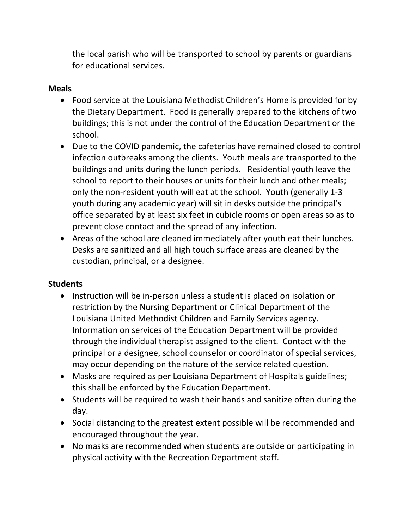the local parish who will be transported to school by parents or guardians for educational services.

## **Meals**

- Food service at the Louisiana Methodist Children's Home is provided for by the Dietary Department. Food is generally prepared to the kitchens of two buildings; this is not under the control of the Education Department or the school.
- Due to the COVID pandemic, the cafeterias have remained closed to control infection outbreaks among the clients. Youth meals are transported to the buildings and units during the lunch periods. Residential youth leave the school to report to their houses or units for their lunch and other meals; only the non-resident youth will eat at the school. Youth (generally 1-3 youth during any academic year) will sit in desks outside the principal's office separated by at least six feet in cubicle rooms or open areas so as to prevent close contact and the spread of any infection.
- Areas of the school are cleaned immediately after youth eat their lunches. Desks are sanitized and all high touch surface areas are cleaned by the custodian, principal, or a designee.

## **Students**

- Instruction will be in-person unless a student is placed on isolation or restriction by the Nursing Department or Clinical Department of the Louisiana United Methodist Children and Family Services agency. Information on services of the Education Department will be provided through the individual therapist assigned to the client. Contact with the principal or a designee, school counselor or coordinator of special services, may occur depending on the nature of the service related question.
- Masks are required as per Louisiana Department of Hospitals guidelines; this shall be enforced by the Education Department.
- Students will be required to wash their hands and sanitize often during the day.
- Social distancing to the greatest extent possible will be recommended and encouraged throughout the year.
- No masks are recommended when students are outside or participating in physical activity with the Recreation Department staff.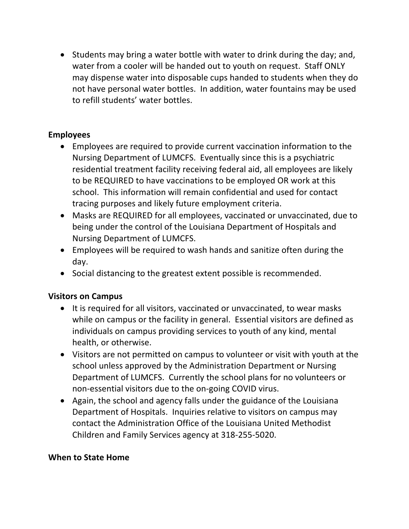• Students may bring a water bottle with water to drink during the day; and, water from a cooler will be handed out to youth on request. Staff ONLY may dispense water into disposable cups handed to students when they do not have personal water bottles. In addition, water fountains may be used to refill students' water bottles.

## **Employees**

- Employees are required to provide current vaccination information to the Nursing Department of LUMCFS. Eventually since this is a psychiatric residential treatment facility receiving federal aid, all employees are likely to be REQUIRED to have vaccinations to be employed OR work at this school. This information will remain confidential and used for contact tracing purposes and likely future employment criteria.
- Masks are REQUIRED for all employees, vaccinated or unvaccinated, due to being under the control of the Louisiana Department of Hospitals and Nursing Department of LUMCFS.
- Employees will be required to wash hands and sanitize often during the day.
- Social distancing to the greatest extent possible is recommended.

## **Visitors on Campus**

- It is required for all visitors, vaccinated or unvaccinated, to wear masks while on campus or the facility in general. Essential visitors are defined as individuals on campus providing services to youth of any kind, mental health, or otherwise.
- Visitors are not permitted on campus to volunteer or visit with youth at the school unless approved by the Administration Department or Nursing Department of LUMCFS. Currently the school plans for no volunteers or non-essential visitors due to the on-going COVID virus.
- Again, the school and agency falls under the guidance of the Louisiana Department of Hospitals. Inquiries relative to visitors on campus may contact the Administration Office of the Louisiana United Methodist Children and Family Services agency at 318-255-5020.

## **When to State Home**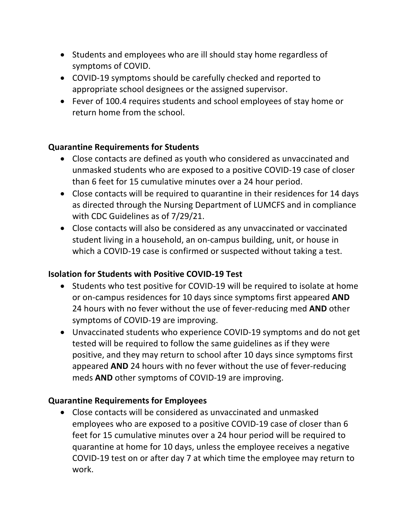- Students and employees who are ill should stay home regardless of symptoms of COVID.
- COVID-19 symptoms should be carefully checked and reported to appropriate school designees or the assigned supervisor.
- Fever of 100.4 requires students and school employees of stay home or return home from the school.

## **Quarantine Requirements for Students**

- Close contacts are defined as youth who considered as unvaccinated and unmasked students who are exposed to a positive COVID-19 case of closer than 6 feet for 15 cumulative minutes over a 24 hour period.
- Close contacts will be required to quarantine in their residences for 14 days as directed through the Nursing Department of LUMCFS and in compliance with CDC Guidelines as of 7/29/21.
- Close contacts will also be considered as any unvaccinated or vaccinated student living in a household, an on-campus building, unit, or house in which a COVID-19 case is confirmed or suspected without taking a test.

## **Isolation for Students with Positive COVID-19 Test**

- Students who test positive for COVID-19 will be required to isolate at home or on-campus residences for 10 days since symptoms first appeared **AND**  24 hours with no fever without the use of fever-reducing med **AND** other symptoms of COVID-19 are improving.
- Unvaccinated students who experience COVID-19 symptoms and do not get tested will be required to follow the same guidelines as if they were positive, and they may return to school after 10 days since symptoms first appeared **AND** 24 hours with no fever without the use of fever-reducing meds **AND** other symptoms of COVID-19 are improving.

#### **Quarantine Requirements for Employees**

• Close contacts will be considered as unvaccinated and unmasked employees who are exposed to a positive COVID-19 case of closer than 6 feet for 15 cumulative minutes over a 24 hour period will be required to quarantine at home for 10 days, unless the employee receives a negative COVID-19 test on or after day 7 at which time the employee may return to work.